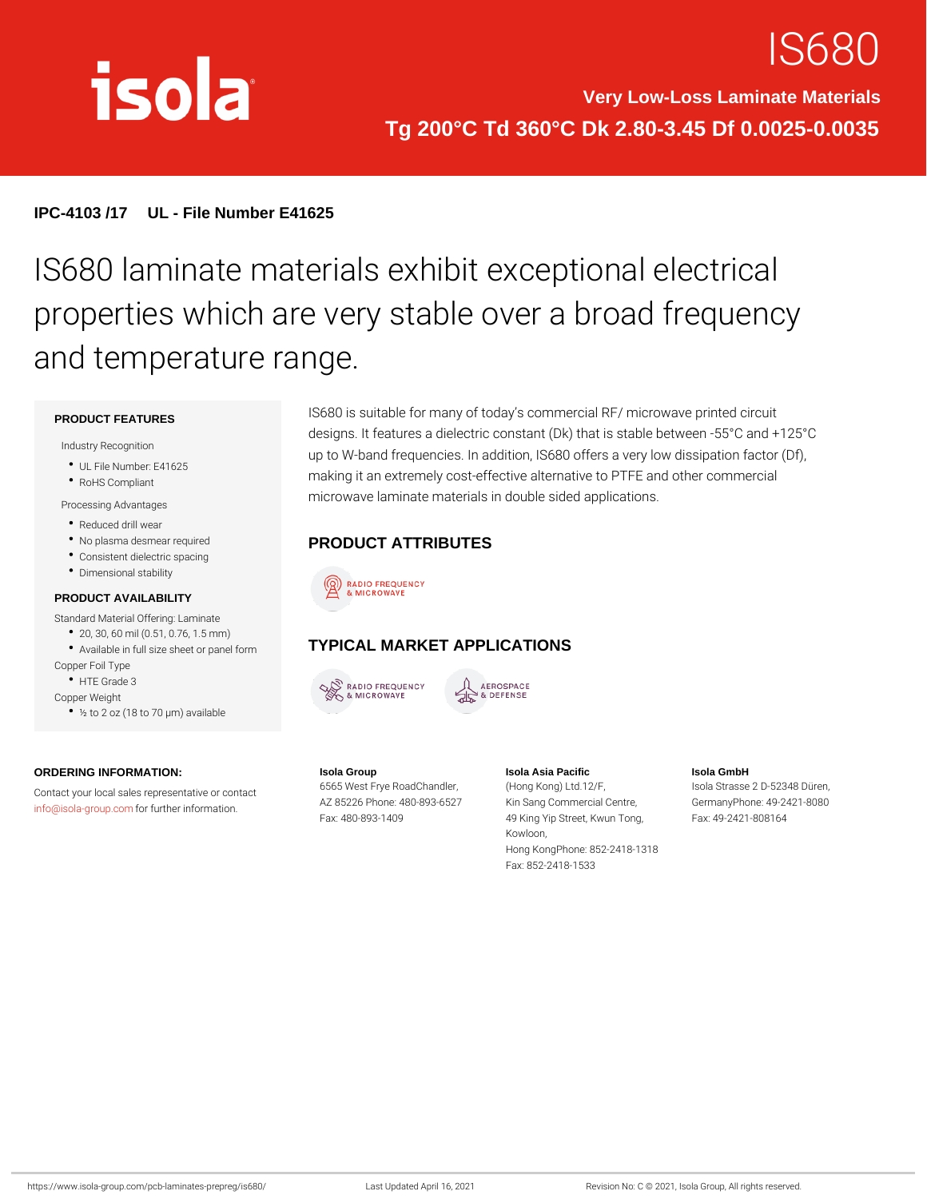# IS68

#### IPC-4103 /17 UL - File Number E41625

## IS680 laminate materials exhibit except properties which are very stable over a and temperature range.

#### PRODUCT FEATURES

Industry Recognition

- UL File Number: E41625
- RoHS Compliant
- Processing Advantages
- Reduced drill wear
- No plasma desmear required
- Consistent dielectric spacing Dimensional stability

#### PRODUCT AVAILABILITY

Standard Material Offering: Laminate

- 20, 30, 60 mil (0.51, 0.76, 1.5 mm)
- Available in full size sheet or panel GelmMARKET APPLICATIONS
- Copper Foil Type
- HTE Grade 3
- Copper Weight
	- ½ to 2 oz (18 to 70 µm) available

ORDERING INFORMATION: Contact your local sales representative of contact Frye RoadChandHemg  $\mathsf{info@isola\text{-}grof}$  .  $\mathsf{four}$  .  $\mathsf{four}$  ther information. Isola Group AZ 85226 Phone: 480-893K652S Fax: 480-893-1409 Isola Asia Pacific n(oHloenng Kong) Ltd.12/F, K652Sang Commercial CenGreer, 49 King Yip Street, Kwun FTaoxn: g 49-2421-808164 Kowloon, Hong KongPhone: 852-2418-1318 Fax: 852-2418-1533 Isola GmbH Isola Strasse 2 D-52348 Düren, GermanyPhone: 49-2421-8080

IS680 is suitable for many of today s commercial RF/ microwave designs. It features a dielectric constant (Dk) that is stable be up to W-band frequencies. In addition, IS680 offers a very low making it an extremely cost-effective alternative to PTFE and o microwave laminate materials in double sided applications.

- PRODUCT ATTRIBUTES
- 
- 
- 
-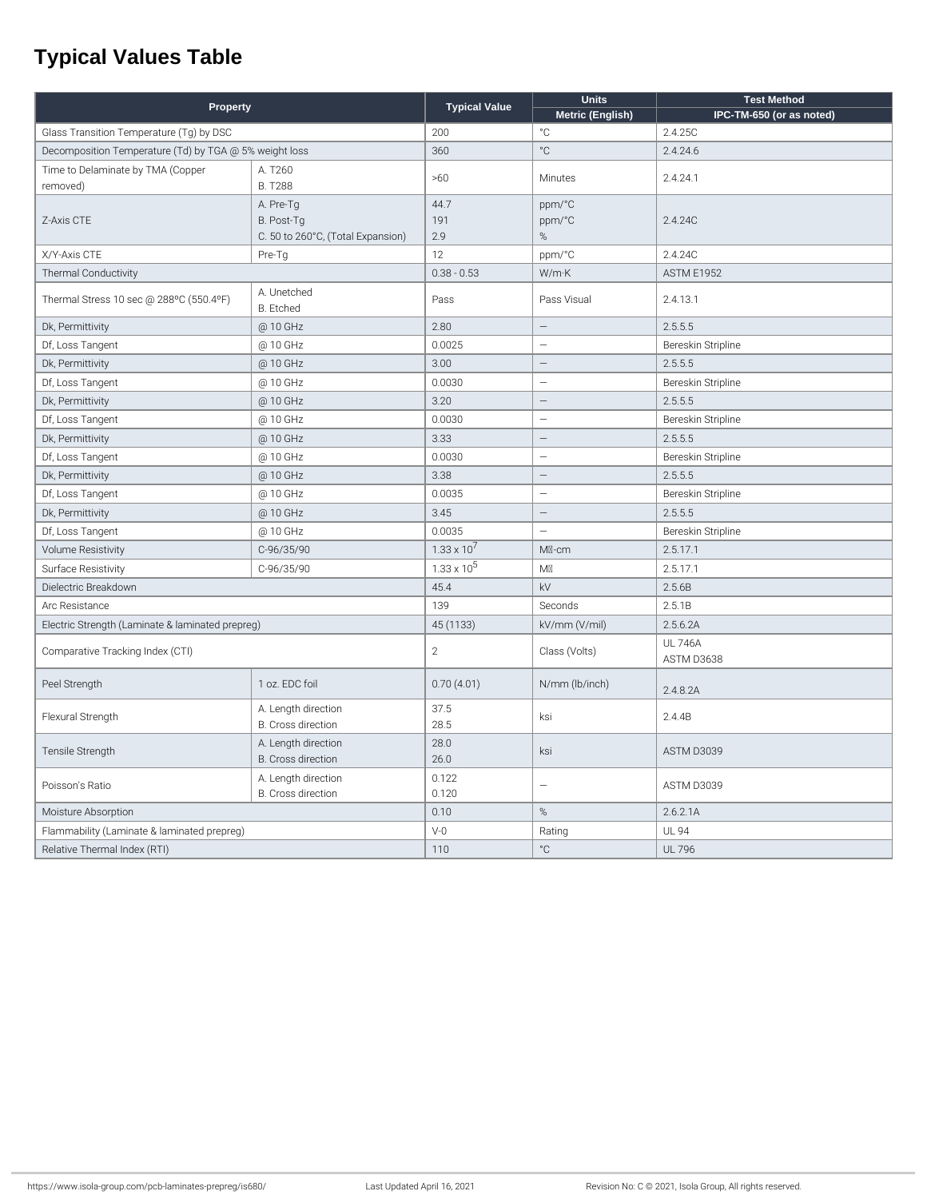### **Typical Values Table**

| Property                                               |                                           | <b>Typical Value</b> | <b>Units</b>             | <b>Test Method</b>           |
|--------------------------------------------------------|-------------------------------------------|----------------------|--------------------------|------------------------------|
|                                                        |                                           |                      | Metric (English)         | IPC-TM-650 (or as noted)     |
| Glass Transition Temperature (Tg) by DSC               |                                           | 200                  | °C                       | 2.4.25C                      |
| Decomposition Temperature (Td) by TGA @ 5% weight loss |                                           | 360                  | $^{\circ}C$              | 2.4.24.6                     |
| Time to Delaminate by TMA (Copper                      | A. T260                                   | >60                  | Minutes                  | 2.4.24.1                     |
| removed)                                               | <b>B. T288</b>                            |                      |                          |                              |
| Z-Axis CTE                                             | A. Pre-Tg                                 | 44.7                 | ppm/°C                   |                              |
|                                                        | B. Post-Tg                                | 191                  | ppm/°C                   | 2.4.24C                      |
|                                                        | C. 50 to 260°C, (Total Expansion)         | 2.9                  | $\%$                     |                              |
| X/Y-Axis CTE<br>Pre-Tg                                 |                                           | 12                   | ppm/°C                   | 2.4.24C                      |
| Thermal Conductivity                                   |                                           | $0.38 - 0.53$        | W/m·K                    | ASTM E1952                   |
| Thermal Stress 10 sec @ 288°C (550.4°F)                | A. Unetched<br>B. Etched                  | Pass                 | Pass Visual              | 2.4.13.1                     |
| Dk, Permittivity                                       | @ 10 GHz                                  | 2.80                 | $\overline{\phantom{0}}$ | 2.5.5.5                      |
| Df, Loss Tangent                                       | @ 10 GHz                                  | 0.0025               | $\equiv$                 | Bereskin Stripline           |
| Dk, Permittivity                                       | @ 10 GHz                                  | 3.00                 | $\equiv$                 | 2.5.5.5                      |
| Df, Loss Tangent                                       | @ 10 GHz                                  | 0.0030               | ÷                        | Bereskin Stripline           |
| Dk, Permittivity                                       | @ 10 GHz                                  | 3.20                 | $\overline{\phantom{0}}$ | 2.5.5.5                      |
| Df, Loss Tangent                                       | @ 10 GHz                                  | 0.0030               | $\overline{\phantom{0}}$ | Bereskin Stripline           |
| Dk, Permittivity                                       | @ 10 GHz                                  | 3.33                 | $\qquad \qquad -$        | 2.5.5.5                      |
| Df, Loss Tangent                                       | @ 10 GHz                                  | 0.0030               | $\equiv$                 | Bereskin Stripline           |
| Dk, Permittivity                                       | @ 10 GHz                                  | 3.38                 | $\overline{\phantom{0}}$ | 2.5.5.5                      |
| Df, Loss Tangent                                       | @ 10 GHz                                  | 0.0035               | $\overline{\phantom{0}}$ | Bereskin Stripline           |
| Dk, Permittivity                                       | @ 10 GHz                                  | 3.45                 | $\qquad \qquad -$        | 2.5.5.5                      |
| Df, Loss Tangent                                       | @ 10 GHz                                  | 0.0035               |                          | Bereskin Stripline           |
| <b>Volume Resistivity</b>                              | C-96/35/90                                | $1.33 \times 10^{7}$ | MI-cm                    | 2.5.17.1                     |
| Surface Resistivity                                    | C-96/35/90                                | $1.33 \times 10^5$   | M                        | 2.5.17.1                     |
| Dielectric Breakdown                                   |                                           | 45.4                 | kV                       | 2.5.6B                       |
| Arc Resistance                                         |                                           | 139                  | Seconds                  | 2.5.1B                       |
| Electric Strength (Laminate & laminated prepreg)       |                                           | 45 (1133)            | kV/mm (V/mil)            | 2.5.6.2A                     |
| Comparative Tracking Index (CTI)                       |                                           | $\overline{2}$       | Class (Volts)            | <b>UL 746A</b><br>ASTM D3638 |
| Peel Strength                                          | 1 oz. EDC foil                            | 0.70(4.01)           | N/mm (lb/inch)           | 2.4.8.2A                     |
| Flexural Strength                                      | A. Length direction<br>B. Cross direction | 37.5<br>28.5         | ksi                      | 2.4.4B                       |
| Tensile Strength                                       | A. Length direction<br>B. Cross direction | 28.0<br>26.0         | ksi                      | ASTM D3039                   |
| Poisson's Ratio                                        | A. Length direction<br>B. Cross direction | 0.122<br>0.120       |                          | ASTM D3039                   |
| Moisture Absorption                                    |                                           | 0.10                 | $\%$                     | 2.6.2.1A                     |
| Flammability (Laminate & laminated prepreg)            |                                           | $V-0$                | Rating                   | <b>UL 94</b>                 |
| Relative Thermal Index (RTI)                           |                                           | 110                  | $^{\circ}C$              | <b>UL 796</b>                |